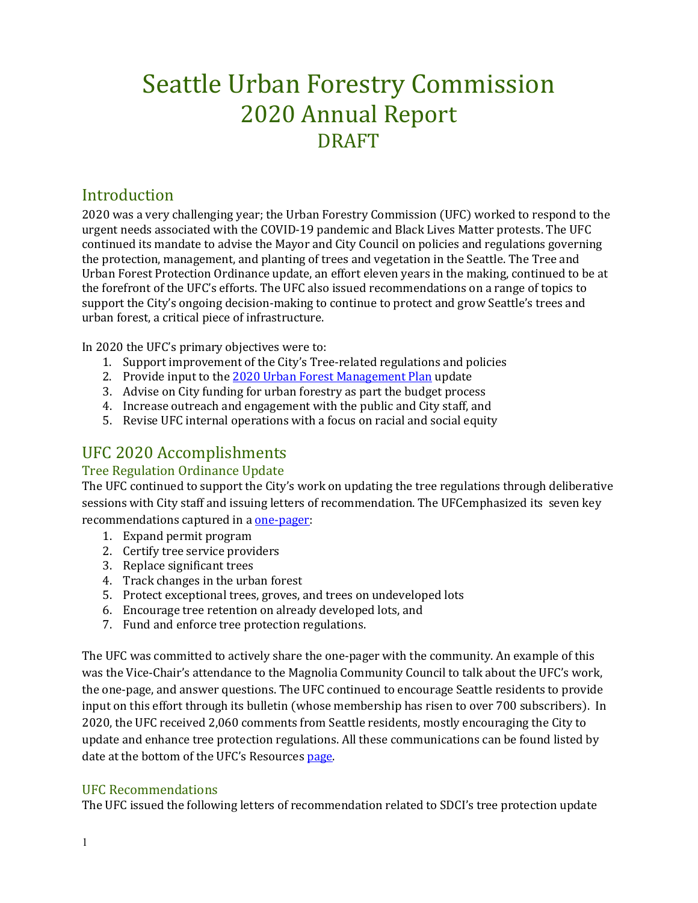# Seattle Urban Forestry Commission 2020 Annual Report DRAFT

## Introduction

2020 was a very challenging year; the Urban Forestry Commission (UFC) worked to respond to the urgent needs associated with the COVID-19 pandemic and Black Lives Matter protests. The UFC continued its mandate to advise the Mayor and City Council on policies and regulations governing the protection, management, and planting of trees and vegetation in the Seattle. The Tree and Urban Forest Protection Ordinance update, an effort eleven years in the making, continued to be at the forefront of the UFC's efforts. The UFC also issued recommendations on a range of topics to support the City's ongoing decision-making to continue to protect and grow Seattle's trees and urban forest, a critical piece of infrastructure.

In 2020 the UFC's primary objectives were to:

- 1. Support improvement of the City's Tree-related regulations and policies
- 2. Provide input to the [2020 Urban Forest Management Plan](http://www.seattle.gov/trees/management) update
- 3. Advise on City funding for urban forestry as part the budget process
- 4. Increase outreach and engagement with the public and City staff, and
- 5. Revise UFC internal operations with a focus on racial and social equity

## UFC 2020 Accomplishments

#### Tree Regulation Ordinance Update

The UFC continued to support the City's work on updating the tree regulations through deliberative sessions with City staff and issuing letters of recommendation. The UFCemphasized its seven key recommendations captured in a [one-pager:](http://www.seattle.gov/Documents/Departments/UrbanForestryCommission/Resources/ADOPTEDTPOUpdateOnePager100919.pdf)

- 1. Expand permit program
- 2. Certify tree service providers
- 3. Replace significant trees
- 4. Track changes in the urban forest
- 5. Protect exceptional trees, groves, and trees on undeveloped lots
- 6. Encourage tree retention on already developed lots, and
- 7. Fund and enforce tree protection regulations.

The UFC was committed to actively share the one-pager with the community. An example of this was the Vice-Chair's attendance to the Magnolia Community Council to talk about the UFC's work, the one-page, and answer questions. The UFC continued to encourage Seattle residents to provide input on this effort through its bulletin (whose membership has risen to over 700 subscribers). In 2020, the UFC received 2,060 comments from Seattle residents, mostly encouraging the City to update and enhance tree protection regulations. All these communications can be found listed by date at the bottom of the UFC's Resources [page.](http://www.seattle.gov/urbanforestrycommission/resources)

#### UFC Recommendations

The UFC issued the following letters of recommendation related to SDCI's tree protection update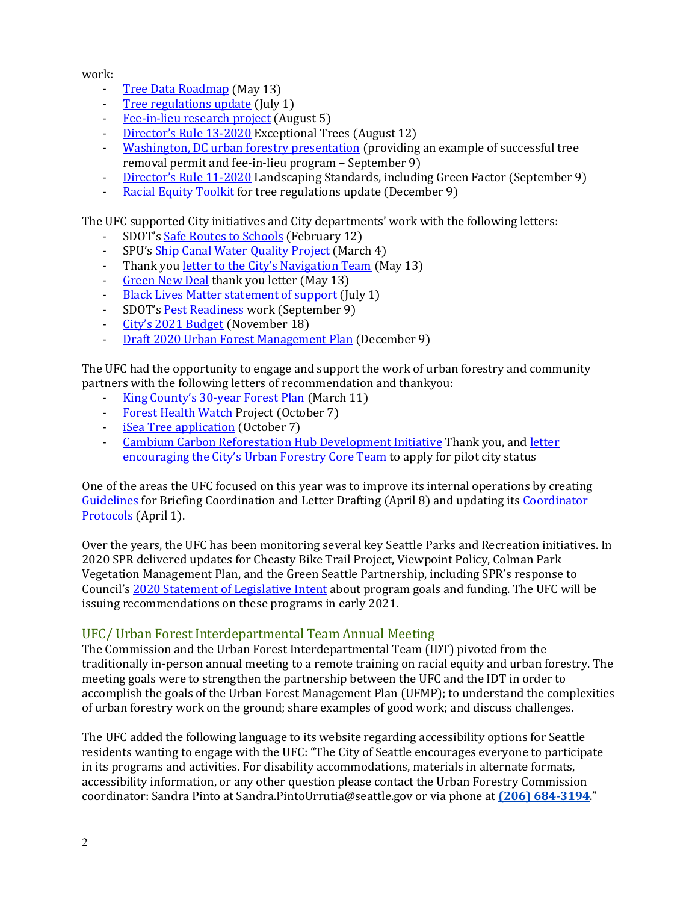work:

- [Tree Data Roadmap](http://www.seattle.gov/Documents/Departments/UrbanForestryCommission/FinalIssuedDocuments/WhatWeDo-Recomms/ADOPTEDTreeDataRoadmapThankyou051320.pdf) (May 13)<br>- Tree regulations undate (July
- [Tree regulations update](http://www.seattle.gov/Documents/Departments/UrbanForestryCommission/FinalIssuedDocuments/Recommendations/ADOPTEDThankYouChandaTreeRegs070120corrected.pdf) (July 1)<br>Fee-in-lieu research project (Aug
- [Fee-in-lieu research project](http://www.seattle.gov/Documents/Departments/UrbanForestryCommission/FinalIssuedDocuments/WhatWeDo-Recomms/ADOPTEDFee-in-lieuThankYou080520.pdf) (August 5)
- [Director's Rule 13-2020](http://www.seattle.gov/Documents/Departments/UrbanForestryCommission/FinalIssuedDocuments/WhatWeDo-Recomms/ADOPTED-DR13-2020letter081220.pdf) Exceptional Trees (August 12)<br>- Washington DC urban forestry presentation (providing
- [Washington, DC urban forestry presentation](http://www.seattle.gov/Documents/Departments/UrbanForestryCommission/FinalIssuedDocuments/WhatWeDo-Recomms/ADOPTEDWaDCFeeInLieuThankYou090920.pdf) (providing an example of successful tree removal permit and fee-in-lieu program – September 9)
- [Director's Rule 11-2020](http://www.seattle.gov/Documents/Departments/UrbanForestryCommission/FinalIssuedDocuments/WhatWeDo-Recomms/ADOPTEDCommentsDR11final090920.pdf) Landscaping Standards, including Green Factor (September 9)
- [Racial Equity Toolkit](http://www.seattle.gov/Documents/Departments/UrbanForestryCommission/FinalIssuedDocuments/WhatWeDo-Recomms/ADOPTED-SDCI-RETthankYou120920.pdf) for tree regulations update (December 9)

The UFC supported City initiatives and City departments' work with the following letters:

- SDOT's <u>Safe Routes to Schools</u> (February 12)<br>- SPU's Shin Canal Water Quality Project (Marc
- SPU'[s Ship Canal Water Quality Project](http://www.seattle.gov/Documents/Departments/UrbanForestryCommission/FinalIssuedDocuments/WhatWeDo-Recomms/ADOPTEDCWQP2020BriefingLetter030420.pdf) (March 4)
- Thank you <u>letter to the City's Navigation Team</u> (May 13)<br>- Green New Deal thank you letter (May 13)
- [Green New Deal](http://www.seattle.gov/Documents/Departments/UrbanForestryCommission/FinalIssuedDocuments/WhatWeDo-Recomms/ADOPTEDGNDThankyou051320.pdf) thank you letter (May 13)
- [Black Lives Matter statement of support](http://www.seattle.gov/Documents/Departments/UrbanForestryCommission/FinalIssuedDocuments/Recommendations/ADOPTED-BLMletter070120corrected.pdf) (July 1)<br>- SDOT's Pest Readiness work (Sentember 9)
- SDOT's [Pest Readiness](http://www.seattle.gov/Documents/Departments/UrbanForestryCommission/FinalIssuedDocuments/WhatWeDo-Recomms/ADOPTEDPestReadinessThankYou090920.pdf) work (September 9)
- [City's 2021 Budget](http://www.seattle.gov/Documents/Departments/UrbanForestryCommission/FinalIssuedDocuments/WhatWeDo-Recomms/ADOPTED-UFC2021BudgetLetter111820.pdf) (November 18)<br>- Draft 2020 Urban Forest Manageme
- [Draft 2020 Urban Forest Management Plan](http://www.seattle.gov/Documents/Departments/UrbanForestryCommission/FinalIssuedDocuments/WhatWeDo-Recomms/ADOPTED_2020UFMPcomments120920final.pdf) (December 9)

The UFC had the opportunity to engage and support the work of urban forestry and community partners with the following letters of recommendation and thankyou:

- [King County's 30-year Forest Plan](http://www.seattle.gov/Documents/Departments/UrbanForestryCommission/FinalIssuedDocuments/WhatWeDo-Recomms/ADOPTEDKCty30YrForestPlan031120FINAL.pdf) (March 11)
- [Forest Health Watch](http://www.seattle.gov/Documents/Departments/UrbanForestryCommission/FinalIssuedDocuments/WhatWeDo-Recomms/ADOPTEDForestHealthWatchThankYou100720.pdf) Project (October 7)
- <u>[iSea Tree application](http://www.seattle.gov/Documents/Departments/UrbanForestryCommission/FinalIssuedDocuments/WhatWeDo-Recomms/ADOPTEDiSeaTreeThankYou100720.pdf)</u> (October 7)<br>- Cambium Carbon Reforestation H
- [Cambium Carbon Reforestation Hub Development Initiative](http://www.seattle.gov/Documents/Departments/UrbanForestryCommission/FinalIssuedDocuments/WhatWeDo-Recomms/ADOPTEDCambiumCarbonThankYou110420.pdf) Thank you, and [letter](http://www.seattle.gov/Documents/Departments/UrbanForestryCommission/FinalIssuedDocuments/WhatWeDo-Recomms/ADOPTEDCambiumCarbonPilotApplication101420.pdf)  [encouraging the City's Urban Forestry Core Team](http://www.seattle.gov/Documents/Departments/UrbanForestryCommission/FinalIssuedDocuments/WhatWeDo-Recomms/ADOPTEDCambiumCarbonPilotApplication101420.pdf) to apply for pilot city status

One of the areas the UFC focused on this year was to improve its internal operations by creating [Guidelines](http://www.seattle.gov/Documents/Departments/UrbanForestryCommission/FinalIssuedDocuments/BylawsProtocols/ADOPTEDBriefingAndLetterDraftingProcessGuide040820FINAL.pdf) for Briefing Coordination and Letter Drafting (April 8) and updating its [Coordinator](http://www.seattle.gov/Documents/Departments/UrbanForestryCommission/FinalIssuedDocuments/BylawsProtocols/ADOPTEDrevisedUFCommissionProtocols040120.pdf)  [Protocols](http://www.seattle.gov/Documents/Departments/UrbanForestryCommission/FinalIssuedDocuments/BylawsProtocols/ADOPTEDrevisedUFCommissionProtocols040120.pdf) (April 1).

Over the years, the UFC has been monitoring several key Seattle Parks and Recreation initiatives. In 2020 SPR delivered updates for Cheasty Bike Trail Project, Viewpoint Policy, Colman Park Vegetation Management Plan, and the Green Seattle Partnership, including SPR's response to Council'[s 2020 Statement of Legislative Intent](http://www.seattle.gov/Documents/Departments/UrbanForestryCommission/2019/2019docs/2020-GSP-SLI6A2.pdf) about program goals and funding. The UFC will be issuing recommendations on these programs in early 2021.

#### UFC/ Urban Forest Interdepartmental Team Annual Meeting

The Commission and the Urban Forest Interdepartmental Team (IDT) pivoted from the traditionally in-person annual meeting to a remote training on racial equity and urban forestry. The meeting goals were to strengthen the partnership between the UFC and the IDT in order to accomplish the goals of the Urban Forest Management Plan (UFMP); to understand the complexities of urban forestry work on the ground; share examples of good work; and discuss challenges.

The UFC added the following language to its website regarding accessibility options for Seattle residents wanting to engage with the UFC: "The City of Seattle encourages everyone to participate in its programs and activities. For disability accommodations, materials in alternate formats, accessibility information, or any other question please contact the Urban Forestry Commission coordinator: Sandra Pinto at Sandra.PintoUrrutia@seattle.gov or via phone at **[\(206\) 684-3194](tel:%20+1%20(206)%20684-3194)**."